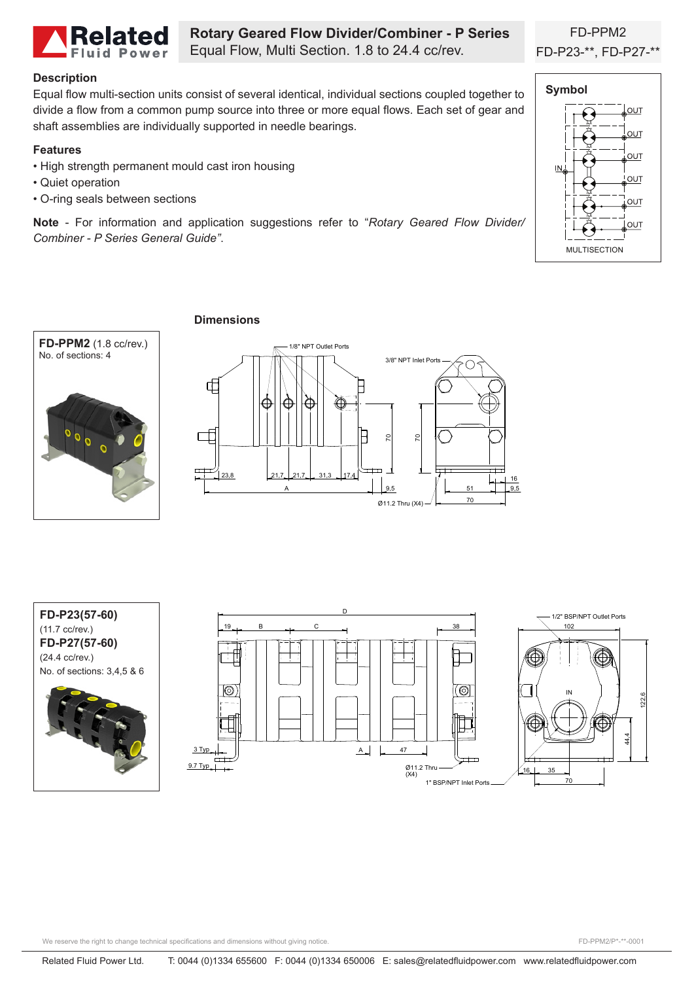

**Rotary Geared Flow Divider/Combiner - P Series** Equal Flow, Multi Section. 1.8 to 24.4 cc/rev.

## **Description**

Equal flow multi-section units consist of several identical, individual sections coupled together to divide a flow from a common pump source into three or more equal flows. Each set of gear and shaft assemblies are individually supported in needle bearings.

### **Features**

- High strength permanent mould cast iron housing
- Quiet operation
- O-ring seals between sections

**Note** - For information and application suggestions refer to "*Rotary Geared Flow Divider/ Combiner - P Series General Guide"*.



FD-PPM2



## **Dimensions**









We reserve the right to change technical specifications and dimensions without giving notice.